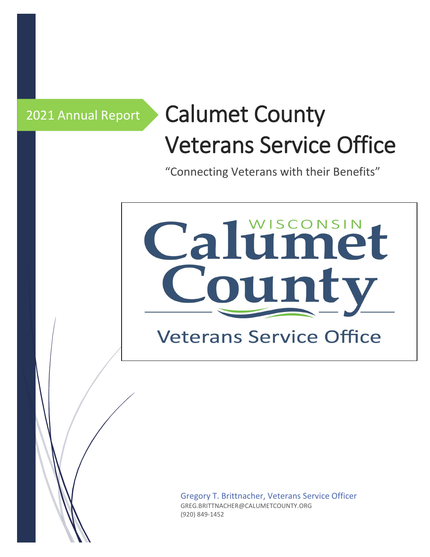# 2021 Annual Report Calumet County Veterans Service Office

"Connecting Veterans with their Benefits"

# Calumet ounty

**Veterans Service Office** 

Gregory T. Brittnacher, Veterans Service Officer GREG.BRITTNACHER@CALUMETCOUNTY.ORG (920) 849-1452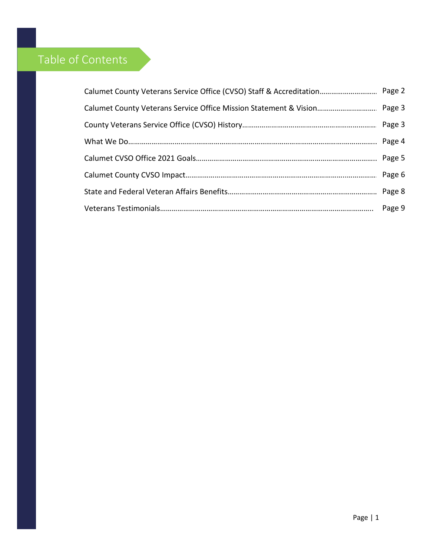## Table of Contents

| Calumet County Veterans Service Office Mission Statement & Vision Page 3 |  |
|--------------------------------------------------------------------------|--|
|                                                                          |  |
|                                                                          |  |
|                                                                          |  |
|                                                                          |  |
|                                                                          |  |
|                                                                          |  |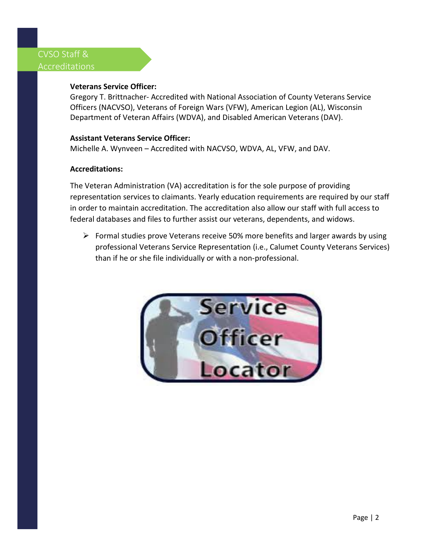### CVSO Staff & Accreditations

#### **Veterans Service Officer:**

Gregory T. Brittnacher- Accredited with National Association of County Veterans Service Officers (NACVSO), Veterans of Foreign Wars (VFW), American Legion (AL), Wisconsin Department of Veteran Affairs (WDVA), and Disabled American Veterans (DAV).

#### **Assistant Veterans Service Officer:**

Michelle A. Wynveen – Accredited with NACVSO, WDVA, AL, VFW, and DAV.

#### **Accreditations:**

The Veteran Administration (VA) accreditation is for the sole purpose of providing representation services to claimants. Yearly education requirements are required by our staff in order to maintain accreditation. The accreditation also allow our staff with full access to federal databases and files to further assist our veterans, dependents, and widows.

 $\triangleright$  Formal studies prove Veterans receive 50% more benefits and larger awards by using professional Veterans Service Representation (i.e., Calumet County Veterans Services) than if he or she file individually or with a non-professional.

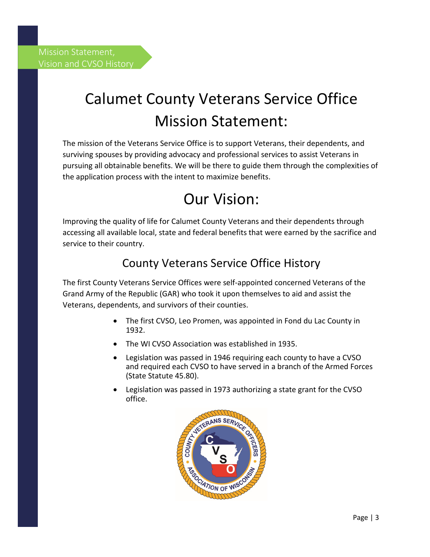# Calumet County Veterans Service Office Mission Statement:

The mission of the Veterans Service Office is to support Veterans, their dependents, and surviving spouses by providing advocacy and professional services to assist Veterans in pursuing all obtainable benefits. We will be there to guide them through the complexities of the application process with the intent to maximize benefits.

## Our Vision:

Improving the quality of life for Calumet County Veterans and their dependents through accessing all available local, state and federal benefits that were earned by the sacrifice and service to their country.

## County Veterans Service Office History

The first County Veterans Service Offices were self-appointed concerned Veterans of the Grand Army of the Republic (GAR) who took it upon themselves to aid and assist the Veterans, dependents, and survivors of their counties.

- The first CVSO, Leo Promen, was appointed in Fond du Lac County in 1932.
- The WI CVSO Association was established in 1935.
- Legislation was passed in 1946 requiring each county to have a CVSO and required each CVSO to have served in a branch of the Armed Forces (State Statute 45.80).
- Legislation was passed in 1973 authorizing a state grant for the CVSO office.

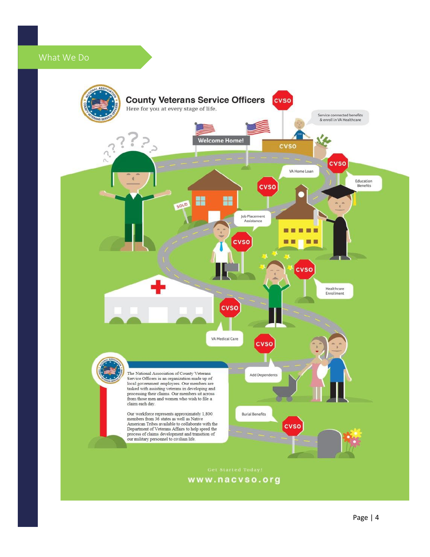## What We Do

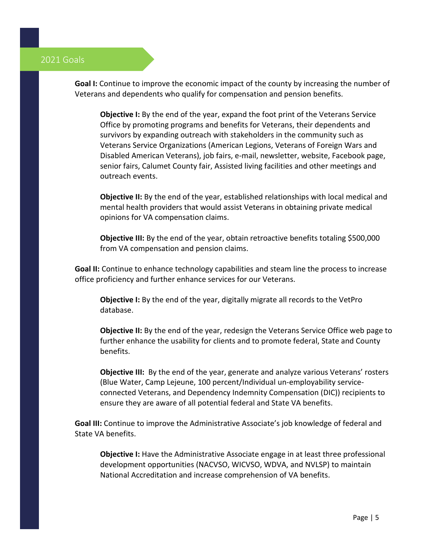#### 2021 Goals

**Goal I:** Continue to improve the economic impact of the county by increasing the number of Veterans and dependents who qualify for compensation and pension benefits.

**Objective I:** By the end of the year, expand the foot print of the Veterans Service Office by promoting programs and benefits for Veterans, their dependents and survivors by expanding outreach with stakeholders in the community such as Veterans Service Organizations (American Legions, Veterans of Foreign Wars and Disabled American Veterans), job fairs, e-mail, newsletter, website, Facebook page, senior fairs, Calumet County fair, Assisted living facilities and other meetings and outreach events.

**Objective II:** By the end of the year, established relationships with local medical and mental health providers that would assist Veterans in obtaining private medical opinions for VA compensation claims.

**Objective III:** By the end of the year, obtain retroactive benefits totaling \$500,000 from VA compensation and pension claims.

**Goal II:** Continue to enhance technology capabilities and steam line the process to increase office proficiency and further enhance services for our Veterans.

**Objective I:** By the end of the year, digitally migrate all records to the VetPro database.

**Objective II:** By the end of the year, redesign the Veterans Service Office web page to further enhance the usability for clients and to promote federal, State and County benefits.

**Objective III:** By the end of the year, generate and analyze various Veterans' rosters (Blue Water, Camp Lejeune, 100 percent/Individual un-employability serviceconnected Veterans, and Dependency Indemnity Compensation (DIC)) recipients to ensure they are aware of all potential federal and State VA benefits.

**Goal III:** Continue to improve the Administrative Associate's job knowledge of federal and State VA benefits.

**Objective I:** Have the Administrative Associate engage in at least three professional development opportunities (NACVSO, WICVSO, WDVA, and NVLSP) to maintain National Accreditation and increase comprehension of VA benefits.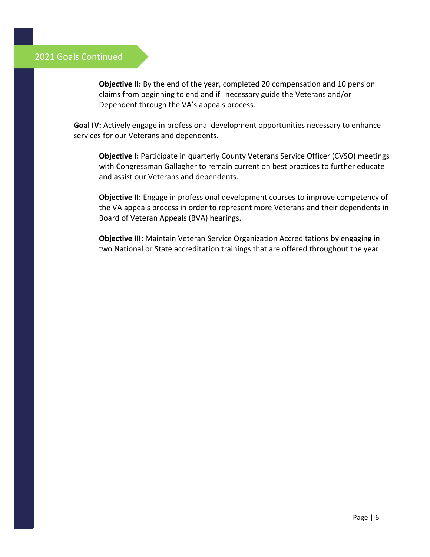#### 2021 Goals Continued

**Objective II:** By the end of the year, completed 20 compensation and 10 pension claims from beginning to end and if necessary guide the Veterans and/or Dependent through the VA's appeals process.

**Goal IV:** Actively engage in professional development opportunities necessary to enhance services for our Veterans and dependents.

**Objective I:** Participate in quarterly County Veterans Service Officer (CVSO) meetings with Congressman Gallagher to remain current on best practices to further educate and assist our Veterans and dependents.

**Objective II:** Engage in professional development courses to improve competency of the VA appeals process in order to represent more Veterans and their dependents in Board of Veteran Appeals (BVA) hearings.

**Objective III:** Maintain Veteran Service Organization Accreditations by engaging in two National or State accreditation trainings that are offered throughout the year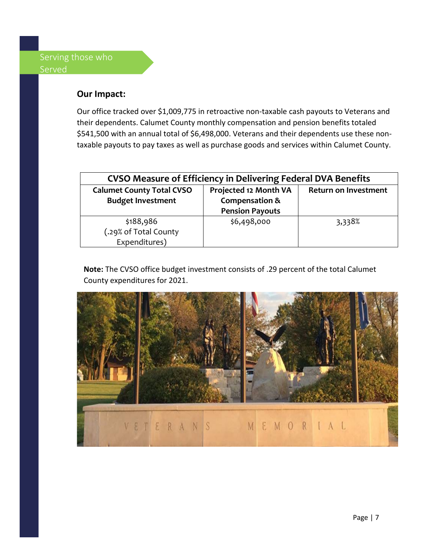#### **Our Impact:**

Our office tracked over \$1,009,775 in retroactive non-taxable cash payouts to Veterans and their dependents. Calumet County monthly compensation and pension benefits totaled \$541,500 with an annual total of \$6,498,000. Veterans and their dependents use these nontaxable payouts to pay taxes as well as purchase goods and services within Calumet County.

| <b>CVSO Measure of Efficiency in Delivering Federal DVA Benefits</b> |                        |                             |  |  |
|----------------------------------------------------------------------|------------------------|-----------------------------|--|--|
| <b>Calumet County Total CVSO</b>                                     | Projected 12 Month VA  | <b>Return on Investment</b> |  |  |
| <b>Budget Investment</b>                                             | Compensation &         |                             |  |  |
|                                                                      | <b>Pension Payouts</b> |                             |  |  |
| \$188,986                                                            | \$6,498,000            | 3,338%                      |  |  |
| (.29% of Total County                                                |                        |                             |  |  |
| Expenditures)                                                        |                        |                             |  |  |

**Note:** The CVSO office budget investment consists of .29 percent of the total Calumet County expenditures for 2021.

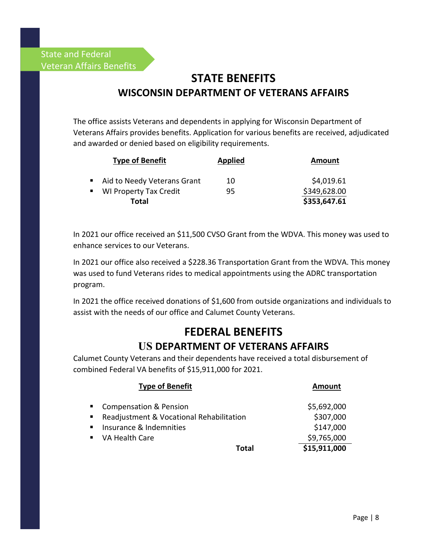## **STATE BENEFITS WISCONSIN DEPARTMENT OF VETERANS AFFAIRS**

The office assists Veterans and dependents in applying for Wisconsin Department of Veterans Affairs provides benefits. Application for various benefits are received, adjudicated and awarded or denied based on eligibility requirements.

|              | <b>Type of Benefit</b>        | <b>Applied</b> | <b>Amount</b> |
|--------------|-------------------------------|----------------|---------------|
|              | ■ Aid to Needy Veterans Grant | 10             | \$4,019.61    |
| $\mathbf{u}$ | <b>WI Property Tax Credit</b> | 95             | \$349,628.00  |
|              | Total                         |                | \$353,647.61  |

In 2021 our office received an \$11,500 CVSO Grant from the WDVA. This money was used to enhance services to our Veterans.

In 2021 our office also received a \$228.36 Transportation Grant from the WDVA. This money was used to fund Veterans rides to medical appointments using the ADRC transportation program.

In 2021 the office received donations of \$1,600 from outside organizations and individuals to assist with the needs of our office and Calumet County Veterans.

# **FEDERAL BENEFITS**

## **US DEPARTMENT OF VETERANS AFFAIRS**

Calumet County Veterans and their dependents have received a total disbursement of combined Federal VA benefits of \$15,911,000 for 2021.

|                  | <b>Type of Benefit</b>                   | Amount       |
|------------------|------------------------------------------|--------------|
| $\blacksquare$ . | <b>Compensation &amp; Pension</b>        | \$5,692,000  |
| $\blacksquare$ . | Readjustment & Vocational Rehabilitation | \$307,000    |
| $\blacksquare$ . | Insurance & Indemnities                  | \$147,000    |
| $\blacksquare$   | VA Health Care                           | \$9,765,000  |
|                  | Total                                    | \$15,911,000 |